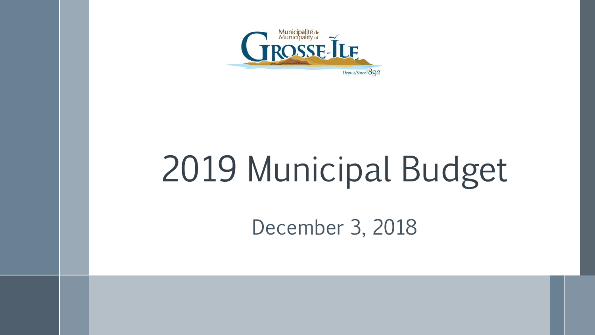

# 2019 Municipal Budget

December 3, 2018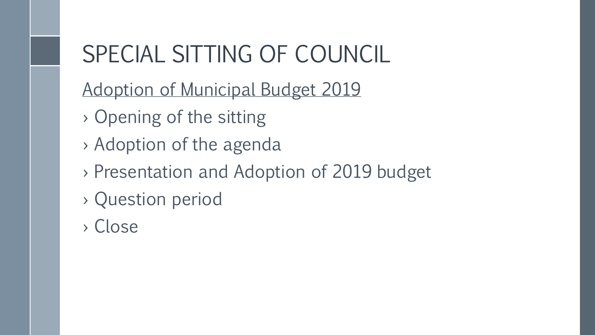## SPECIAL SITTING OF COUNCIL

- Adoption of Municipal Budget 2019
- › Opening of the sitting
- › Adoption of the agenda
- › Presentation and Adoption of 2019 budget
- › Question period
- › Close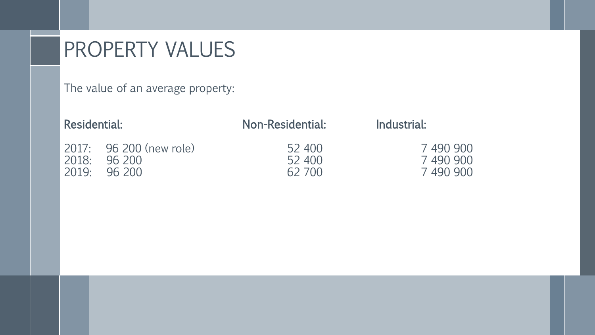#### PROPERTY VALUES

The value of an average property:

| Residential:          |                                   | Non-Residential:           | Industrial:                       |
|-----------------------|-----------------------------------|----------------------------|-----------------------------------|
| 2018:<br>2019: 96 200 | 2017: 96 200 (new role)<br>96,200 | 52 400<br>52 400<br>62 700 | 7490900<br>7 490 900<br>7 490 900 |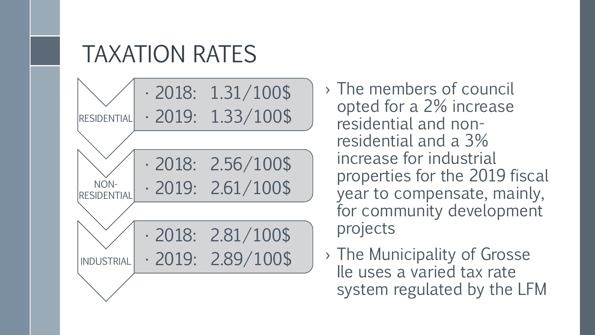#### TAXATION RATES



› The members of council opted for a 2% increase residential and nonresidential and a 3% increase for industrial properties for the 2019 fiscal year to compensate, mainly, for community development projects

› The Municipality of Grosse Ile uses a varied tax rate system regulated by the LFM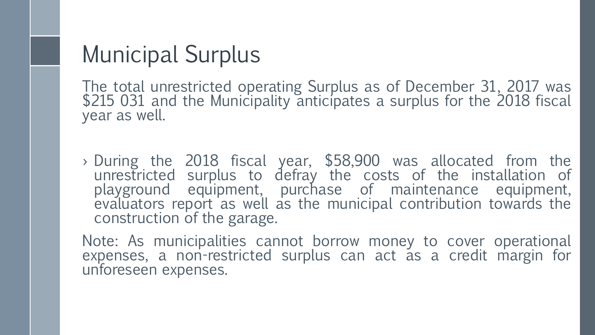#### Municipal Surplus

The total unrestricted operating Surplus as of December 31, 2017 was \$215 031 and the Municipality anticipates a surplus for the 2018 fiscal year as well.

› During the 2018 fiscal year, \$58,900 was allocated from the unrestricted surplus to defray the costs of the installation of playground equipment, purchase of maintenance equipment, evaluators report as well as the municipal contribution towards the construction of the garage.

Note: As municipalities cannot borrow money to cover operational expenses, a non-restricted surplus can act as a credit margin for unforeseen expenses.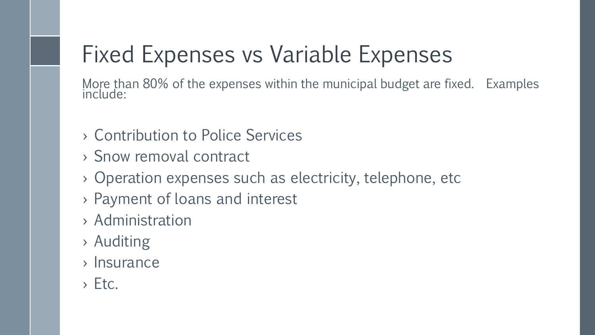## Fixed Expenses vs Variable Expenses

More than 80% of the expenses within the municipal budget are fixed. Examples include:

- › Contribution to Police Services
- › Snow removal contract
- › Operation expenses such as electricity, telephone, etc
- › Payment of loans and interest
- › Administration
- › Auditing
- › Insurance
- $>E$ tc.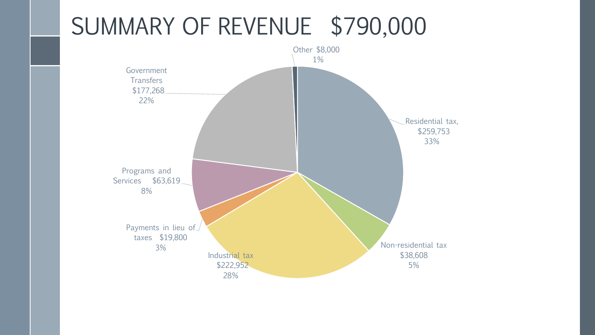### SUMMARY OF REVENUE \$790,000